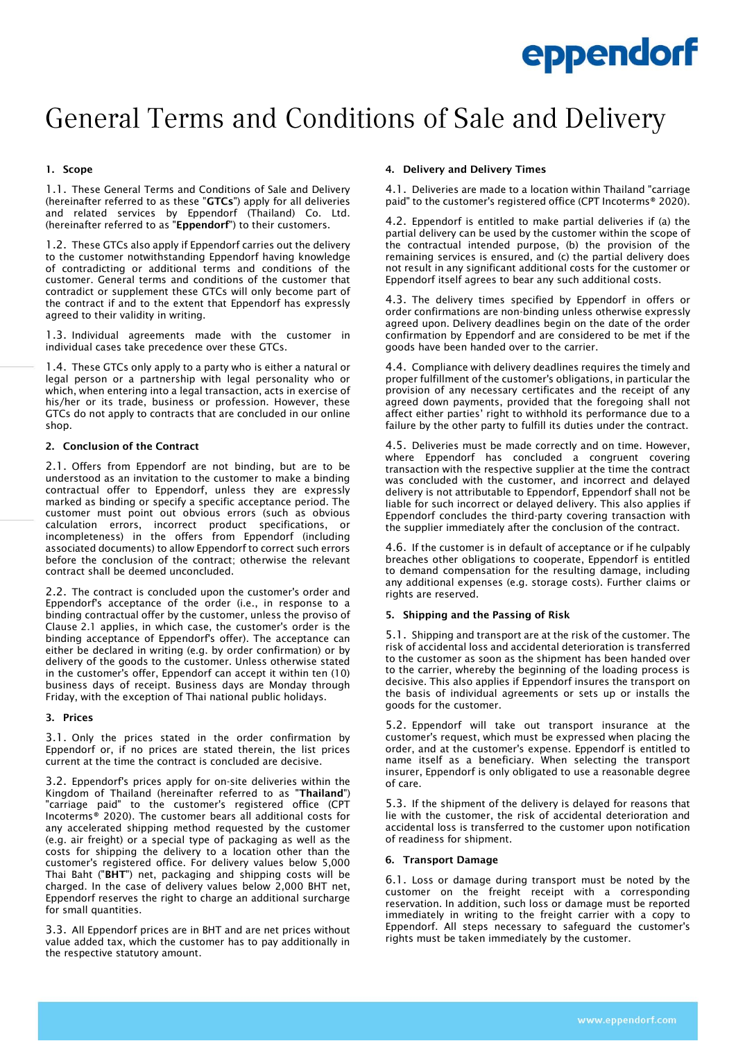# General Terms and Conditions of Sale and Delivery

# 1. Scope

1.1. These General Terms and Conditions of Sale and Delivery (hereinafter referred to as these "GTCs") apply for all deliveries and related services by Eppendorf (Thailand) Co. Ltd. (hereinafter referred to as "Eppendorf") to their customers.

1.2. These GTCs also apply if Eppendorf carries out the delivery to the customer notwithstanding Eppendorf having knowledge of contradicting or additional terms and conditions of the customer. General terms and conditions of the customer that contradict or supplement these GTCs will only become part of the contract if and to the extent that Eppendorf has expressly agreed to their validity in writing.

1.3. Individual agreements made with the customer in individual cases take precedence over these GTCs.

1.4. These GTCs only apply to a party who is either a natural or legal person or a partnership with legal personality who or which, when entering into a legal transaction, acts in exercise of his/her or its trade, business or profession. However, these GTCs do not apply to contracts that are concluded in our online shop.

# 2. Conclusion of the Contract

2.1. Offers from Eppendorf are not binding, but are to be understood as an invitation to the customer to make a binding contractual offer to Eppendorf, unless they are expressly marked as binding or specify a specific acceptance period. The customer must point out obvious errors (such as obvious calculation errors, incorrect product specifications, or incompleteness) in the offers from Eppendorf (including associated documents) to allow Eppendorf to correct such errors before the conclusion of the contract; otherwise the relevant contract shall be deemed unconcluded.

2.2. The contract is concluded upon the customer's order and Eppendorf's acceptance of the order (i.e., in response to a binding contractual offer by the customer, unless the proviso of Clause 2.1 applies, in which case, the customer's order is the binding acceptance of Eppendorf's offer). The acceptance can either be declared in writing (e.g. by order confirmation) or by delivery of the goods to the customer. Unless otherwise stated in the customer's offer, Eppendorf can accept it within ten (10) business days of receipt. Business days are Monday through Friday, with the exception of Thai national public holidays.

# 3. Prices

3.1. Only the prices stated in the order confirmation by Eppendorf or, if no prices are stated therein, the list prices current at the time the contract is concluded are decisive.

3.2. Eppendorf's prices apply for on-site deliveries within the Kingdom of Thailand (hereinafter referred to as "Thailand") "carriage paid" to the customer's registered office (CPT Incoterms® 2020). The customer bears all additional costs for any accelerated shipping method requested by the customer (e.g. air freight) or a special type of packaging as well as the costs for shipping the delivery to a location other than the customer's registered office. For delivery values below 5,000 Thai Baht ("BHT") net, packaging and shipping costs will be charged. In the case of delivery values below 2,000 BHT net, Eppendorf reserves the right to charge an additional surcharge for small quantities.

3.3. All Eppendorf prices are in BHT and are net prices without value added tax, which the customer has to pay additionally in the respective statutory amount.

# 4. Delivery and Delivery Times

4.1. Deliveries are made to a location within Thailand "carriage paid" to the customer's registered office (CPT Incoterms® 2020).

4.2. Eppendorf is entitled to make partial deliveries if (a) the partial delivery can be used by the customer within the scope of the contractual intended purpose, (b) the provision of the remaining services is ensured, and (c) the partial delivery does not result in any significant additional costs for the customer or Eppendorf itself agrees to bear any such additional costs.

4.3. The delivery times specified by Eppendorf in offers or order confirmations are non-binding unless otherwise expressly agreed upon. Delivery deadlines begin on the date of the order confirmation by Eppendorf and are considered to be met if the goods have been handed over to the carrier.

4.4. Compliance with delivery deadlines requires the timely and proper fulfillment of the customer's obligations, in particular the provision of any necessary certificates and the receipt of any agreed down payments, provided that the foregoing shall not affect either parties' right to withhold its performance due to a failure by the other party to fulfill its duties under the contract.

4.5. Deliveries must be made correctly and on time. However, where Eppendorf has concluded a congruent covering transaction with the respective supplier at the time the contract was concluded with the customer, and incorrect and delayed delivery is not attributable to Eppendorf, Eppendorf shall not be liable for such incorrect or delayed delivery. This also applies if Eppendorf concludes the third-party covering transaction with the supplier immediately after the conclusion of the contract.

4.6. If the customer is in default of acceptance or if he culpably breaches other obligations to cooperate, Eppendorf is entitled to demand compensation for the resulting damage, including any additional expenses (e.g. storage costs). Further claims or rights are reserved.

# 5. Shipping and the Passing of Risk

5.1. Shipping and transport are at the risk of the customer. The risk of accidental loss and accidental deterioration is transferred to the customer as soon as the shipment has been handed over to the carrier, whereby the beginning of the loading process is decisive. This also applies if Eppendorf insures the transport on the basis of individual agreements or sets up or installs the goods for the customer.

5.2. Eppendorf will take out transport insurance at the customer's request, which must be expressed when placing the order, and at the customer's expense. Eppendorf is entitled to name itself as a beneficiary. When selecting the transport insurer, Eppendorf is only obligated to use a reasonable degree of care.

5.3. If the shipment of the delivery is delayed for reasons that lie with the customer, the risk of accidental deterioration and accidental loss is transferred to the customer upon notification of readiness for shipment.

# 6. Transport Damage

6.1. Loss or damage during transport must be noted by the customer on the freight receipt with a corresponding reservation. In addition, such loss or damage must be reported immediately in writing to the freight carrier with a copy to Eppendorf. All steps necessary to safeguard the customer's rights must be taken immediately by the customer.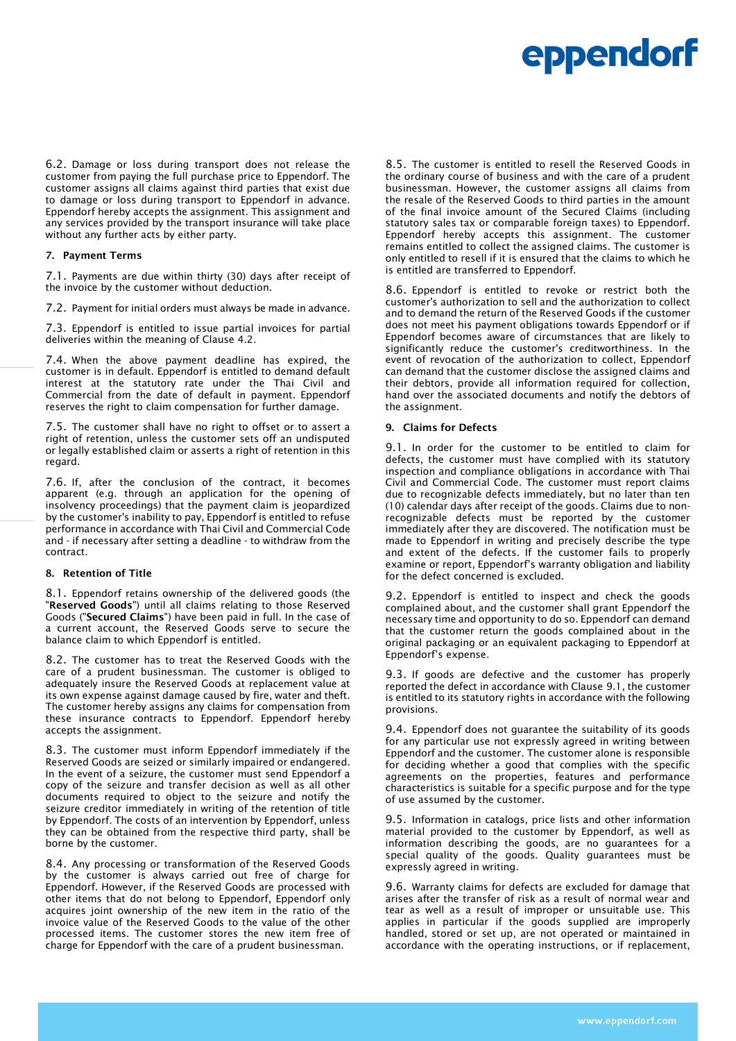6.2. Damage or loss during transport does not release the customer from paying the full purchase price to Eppendorf. The customer assigns all claims against third parties that exist due to damage or loss during transport to Eppendorf in advance. Eppendorf hereby accepts the assignment. This assignment and any services provided by the transport insurance will take place without any further acts by either party.

#### 7. Payment Terms

7.1. Payments are due within thirty (30) days after receipt of the invoice by the customer without deduction.

7.2. Payment for initial orders must always be made in advance.

7.3. Eppendorf is entitled to issue partial invoices for partial deliveries within the meaning of Clause 4.2.

7.4. When the above payment deadline has expired, the customer is in default. Eppendorf is entitled to demand default interest at the statutory rate under the Thai Civil and Commercial from the date of default in payment. Eppendorf reserves the right to claim compensation for further damage.

7.5. The customer shall have no right to offset or to assert a right of retention, unless the customer sets off an undisputed or legally established claim or asserts a right of retention in this regard.

7.6. If, after the conclusion of the contract, it becomes apparent (e.g. through an application for the opening of insolvency proceedings) that the payment claim is jeopardized by the customer's inability to pay, Eppendorf is entitled to refuse performance in accordance with Thai Civil and Commercial Code and - if necessary after setting a deadline - to withdraw from the contract.

#### 8. Retention of Title

8.1. Eppendorf retains ownership of the delivered goods (the "Reserved Goods") until all claims relating to those Reserved Goods ("Secured Claims") have been paid in full. In the case of a current account, the Reserved Goods serve to secure the balance claim to which Eppendorf is entitled.

8.2. The customer has to treat the Reserved Goods with the care of a prudent businessman. The customer is obliged to adequately insure the Reserved Goods at replacement value at its own expense against damage caused by fire, water and theft. The customer hereby assigns any claims for compensation from these insurance contracts to Eppendorf. Eppendorf hereby accepts the assignment.

8.3. The customer must inform Eppendorf immediately if the Reserved Goods are seized or similarly impaired or endangered. In the event of a seizure, the customer must send Eppendorf a copy of the seizure and transfer decision as well as all other documents required to object to the seizure and notify the seizure creditor immediately in writing of the retention of title by Eppendorf. The costs of an intervention by Eppendorf, unless they can be obtained from the respective third party, shall be borne by the customer.

8.4. Any processing or transformation of the Reserved Goods by the customer is always carried out free of charge for Eppendorf. However, if the Reserved Goods are processed with other items that do not belong to Eppendorf, Eppendorf only acquires joint ownership of the new item in the ratio of the invoice value of the Reserved Goods to the value of the other processed items. The customer stores the new item free of charge for Eppendorf with the care of a prudent businessman.

8.5. The customer is entitled to resell the Reserved Goods in the ordinary course of business and with the care of a prudent businessman. However, the customer assigns all claims from the resale of the Reserved Goods to third parties in the amount of the final invoice amount of the Secured Claims (including statutory sales tax or comparable foreign taxes) to Eppendorf. Eppendorf hereby accepts this assignment. The customer remains entitled to collect the assigned claims. The customer is only entitled to resell if it is ensured that the claims to which he is entitled are transferred to Eppendorf.

8.6. Eppendorf is entitled to revoke or restrict both the customer's authorization to sell and the authorization to collect and to demand the return of the Reserved Goods if the customer does not meet his payment obligations towards Eppendorf or if Eppendorf becomes aware of circumstances that are likely to significantly reduce the customer's creditworthiness. In the event of revocation of the authorization to collect, Eppendorf can demand that the customer disclose the assigned claims and their debtors, provide all information required for collection, hand over the associated documents and notify the debtors of the assignment.

#### 9. Claims for Defects

9.1. In order for the customer to be entitled to claim for defects, the customer must have complied with its statutory inspection and compliance obligations in accordance with Thai Civil and Commercial Code. The customer must report claims due to recognizable defects immediately, but no later than ten (10) calendar days after receipt of the goods. Claims due to nonrecognizable defects must be reported by the customer immediately after they are discovered. The notification must be made to Eppendorf in writing and precisely describe the type and extent of the defects. If the customer fails to properly examine or report, Eppendorf's warranty obligation and liability for the defect concerned is excluded.

9.2. Eppendorf is entitled to inspect and check the goods complained about, and the customer shall grant Eppendorf the necessary time and opportunity to do so. Eppendorf can demand that the customer return the goods complained about in the original packaging or an equivalent packaging to Eppendorf at Eppendorf's expense.

9.3. If goods are defective and the customer has properly reported the defect in accordance with Clause 9.1, the customer is entitled to its statutory rights in accordance with the following provisions.

9.4. Eppendorf does not guarantee the suitability of its goods for any particular use not expressly agreed in writing between Eppendorf and the customer. The customer alone is responsible for deciding whether a good that complies with the specific agreements on the properties, features and performance characteristics is suitable for a specific purpose and for the type of use assumed by the customer.

9.5. Information in catalogs, price lists and other information material provided to the customer by Eppendorf, as well as information describing the goods, are no guarantees for a special quality of the goods. Quality guarantees must be expressly agreed in writing.

9.6. Warranty claims for defects are excluded for damage that arises after the transfer of risk as a result of normal wear and tear as well as a result of improper or unsuitable use. This applies in particular if the goods supplied are improperly handled, stored or set up, are not operated or maintained in accordance with the operating instructions, or if replacement,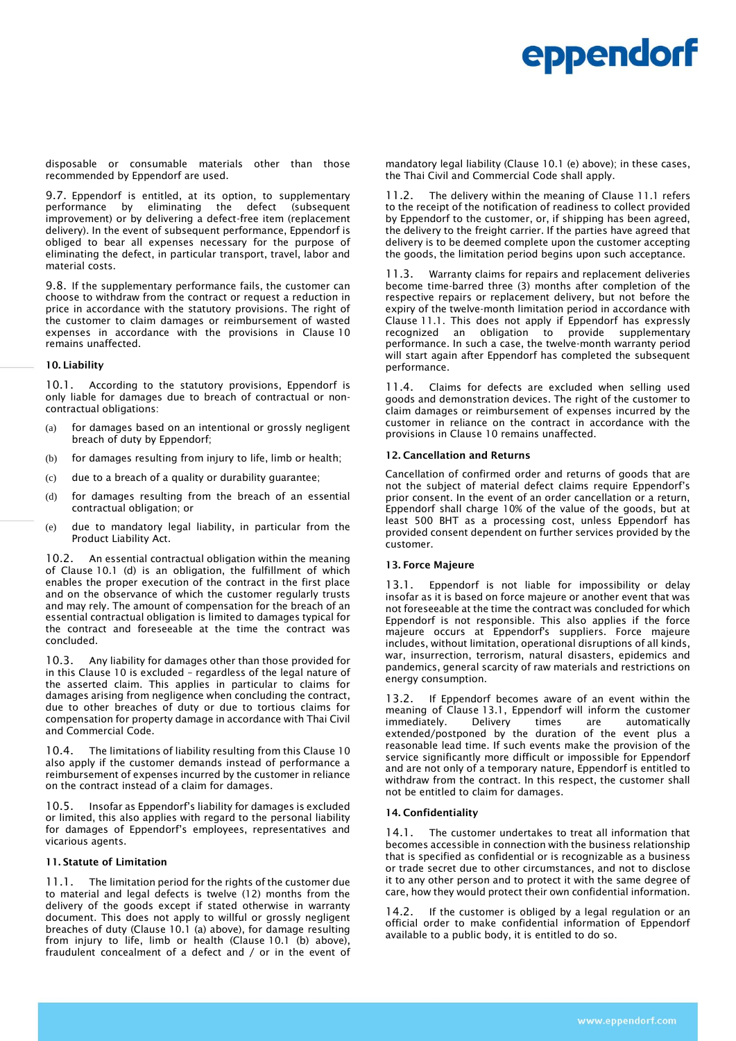disposable or consumable materials other than those recommended by Eppendorf are used.

9.7. Eppendorf is entitled, at its option, to supplementary performance by eliminating the defect (subsequent by eliminating the defect (subsequent improvement) or by delivering a defect-free item (replacement delivery). In the event of subsequent performance, Eppendorf is obliged to bear all expenses necessary for the purpose of eliminating the defect, in particular transport, travel, labor and material costs.

9.8. If the supplementary performance fails, the customer can choose to withdraw from the contract or request a reduction in price in accordance with the statutory provisions. The right of the customer to claim damages or reimbursement of wasted expenses in accordance with the provisions in Clause 10 remains unaffected.

#### 10. Liability

10.1. According to the statutory provisions, Eppendorf is only liable for damages due to breach of contractual or noncontractual obligations:

- (a) for damages based on an intentional or grossly negligent breach of duty by Eppendorf;
- (b) for damages resulting from injury to life, limb or health;
- (c) due to a breach of a quality or durability guarantee;
- (d) for damages resulting from the breach of an essential contractual obligation; or
- (e) due to mandatory legal liability, in particular from the Product Liability Act.

10.2. An essential contractual obligation within the meaning of Clause 10.1 (d) is an obligation, the fulfillment of which enables the proper execution of the contract in the first place and on the observance of which the customer regularly trusts and may rely. The amount of compensation for the breach of an essential contractual obligation is limited to damages typical for the contract and foreseeable at the time the contract was concluded.

10.3. Any liability for damages other than those provided for in this Clause 10 is excluded – regardless of the legal nature of the asserted claim. This applies in particular to claims for damages arising from negligence when concluding the contract, due to other breaches of duty or due to tortious claims for compensation for property damage in accordance with Thai Civil and Commercial Code.

10.4. The limitations of liability resulting from this Clause 10 also apply if the customer demands instead of performance a reimbursement of expenses incurred by the customer in reliance on the contract instead of a claim for damages.

10.5. Insofar as Eppendorf's liability for damages is excluded or limited, this also applies with regard to the personal liability for damages of Eppendorf's employees, representatives and vicarious agents.

#### 11. Statute of Limitation

11.1. The limitation period for the rights of the customer due to material and legal defects is twelve (12) months from the delivery of the goods except if stated otherwise in warranty document. This does not apply to willful or grossly negligent breaches of duty (Clause 10.1 (a) above), for damage resulting from injury to life, limb or health (Clause 10.1 (b) above), fraudulent concealment of a defect and / or in the event of mandatory legal liability (Clause 10.1 (e) above); in these cases, the Thai Civil and Commercial Code shall apply.

11.2. The delivery within the meaning of Clause 11.1 refers to the receipt of the notification of readiness to collect provided by Eppendorf to the customer, or, if shipping has been agreed, the delivery to the freight carrier. If the parties have agreed that delivery is to be deemed complete upon the customer accepting the goods, the limitation period begins upon such acceptance.

11.3. Warranty claims for repairs and replacement deliveries become time-barred three (3) months after completion of the respective repairs or replacement delivery, but not before the expiry of the twelve-month limitation period in accordance with Clause 11.1. This does not apply if Eppendorf has expressly recognized an obligation to provide supplementary performance. In such a case, the twelve-month warranty period will start again after Eppendorf has completed the subsequent performance.

11.4. Claims for defects are excluded when selling used goods and demonstration devices. The right of the customer to claim damages or reimbursement of expenses incurred by the customer in reliance on the contract in accordance with the provisions in Clause 10 remains unaffected.

### 12. Cancellation and Returns

Cancellation of confirmed order and returns of goods that are not the subject of material defect claims require Eppendorf's prior consent. In the event of an order cancellation or a return, Eppendorf shall charge 10% of the value of the goods, but at least 500 BHT as a processing cost, unless Eppendorf has provided consent dependent on further services provided by the customer.

#### 13. Force Majeure

13.1. Eppendorf is not liable for impossibility or delay insofar as it is based on force majeure or another event that was not foreseeable at the time the contract was concluded for which Eppendorf is not responsible. This also applies if the force majeure occurs at Eppendorf's suppliers. Force majeure includes, without limitation, operational disruptions of all kinds, war, insurrection, terrorism, natural disasters, epidemics and pandemics, general scarcity of raw materials and restrictions on energy consumption.

13.2. If Eppendorf becomes aware of an event within the meaning of Clause 13.1, Eppendorf will inform the customer immediately. Delivery times are automatically automatically extended/postponed by the duration of the event plus a reasonable lead time. If such events make the provision of the service significantly more difficult or impossible for Eppendorf and are not only of a temporary nature, Eppendorf is entitled to withdraw from the contract. In this respect, the customer shall not be entitled to claim for damages.

# 14. Confidentiality

14.1. The customer undertakes to treat all information that becomes accessible in connection with the business relationship that is specified as confidential or is recognizable as a business or trade secret due to other circumstances, and not to disclose it to any other person and to protect it with the same degree of care, how they would protect their own confidential information.

14.2. If the customer is obliged by a legal regulation or an official order to make confidential information of Eppendorf available to a public body, it is entitled to do so.